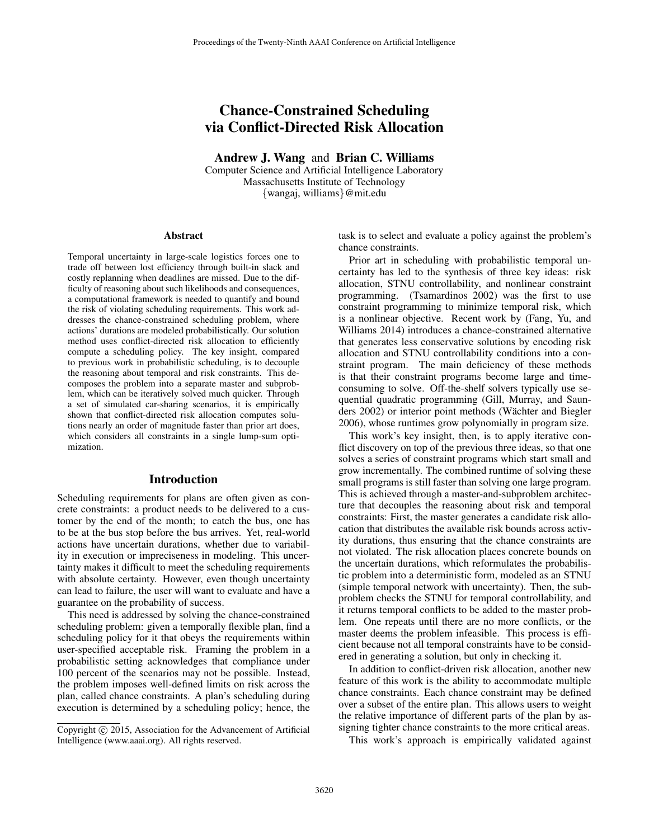## Chance-Constrained Scheduling via Conflict-Directed Risk Allocation

Andrew J. Wang and Brian C. Williams

Computer Science and Artificial Intelligence Laboratory Massachusetts Institute of Technology {wangaj, williams}@mit.edu

#### Abstract

Temporal uncertainty in large-scale logistics forces one to trade off between lost efficiency through built-in slack and costly replanning when deadlines are missed. Due to the difficulty of reasoning about such likelihoods and consequences, a computational framework is needed to quantify and bound the risk of violating scheduling requirements. This work addresses the chance-constrained scheduling problem, where actions' durations are modeled probabilistically. Our solution method uses conflict-directed risk allocation to efficiently compute a scheduling policy. The key insight, compared to previous work in probabilistic scheduling, is to decouple the reasoning about temporal and risk constraints. This decomposes the problem into a separate master and subproblem, which can be iteratively solved much quicker. Through a set of simulated car-sharing scenarios, it is empirically shown that conflict-directed risk allocation computes solutions nearly an order of magnitude faster than prior art does, which considers all constraints in a single lump-sum optimization.

## Introduction

Scheduling requirements for plans are often given as concrete constraints: a product needs to be delivered to a customer by the end of the month; to catch the bus, one has to be at the bus stop before the bus arrives. Yet, real-world actions have uncertain durations, whether due to variability in execution or impreciseness in modeling. This uncertainty makes it difficult to meet the scheduling requirements with absolute certainty. However, even though uncertainty can lead to failure, the user will want to evaluate and have a guarantee on the probability of success.

This need is addressed by solving the chance-constrained scheduling problem: given a temporally flexible plan, find a scheduling policy for it that obeys the requirements within user-specified acceptable risk. Framing the problem in a probabilistic setting acknowledges that compliance under 100 percent of the scenarios may not be possible. Instead, the problem imposes well-defined limits on risk across the plan, called chance constraints. A plan's scheduling during execution is determined by a scheduling policy; hence, the

task is to select and evaluate a policy against the problem's chance constraints.

Prior art in scheduling with probabilistic temporal uncertainty has led to the synthesis of three key ideas: risk allocation, STNU controllability, and nonlinear constraint programming. (Tsamardinos 2002) was the first to use constraint programming to minimize temporal risk, which is a nonlinear objective. Recent work by (Fang, Yu, and Williams 2014) introduces a chance-constrained alternative that generates less conservative solutions by encoding risk allocation and STNU controllability conditions into a constraint program. The main deficiency of these methods is that their constraint programs become large and timeconsuming to solve. Off-the-shelf solvers typically use sequential quadratic programming (Gill, Murray, and Saunders 2002) or interior point methods (Wächter and Biegler 2006), whose runtimes grow polynomially in program size.

This work's key insight, then, is to apply iterative conflict discovery on top of the previous three ideas, so that one solves a series of constraint programs which start small and grow incrementally. The combined runtime of solving these small programs is still faster than solving one large program. This is achieved through a master-and-subproblem architecture that decouples the reasoning about risk and temporal constraints: First, the master generates a candidate risk allocation that distributes the available risk bounds across activity durations, thus ensuring that the chance constraints are not violated. The risk allocation places concrete bounds on the uncertain durations, which reformulates the probabilistic problem into a deterministic form, modeled as an STNU (simple temporal network with uncertainty). Then, the subproblem checks the STNU for temporal controllability, and it returns temporal conflicts to be added to the master problem. One repeats until there are no more conflicts, or the master deems the problem infeasible. This process is efficient because not all temporal constraints have to be considered in generating a solution, but only in checking it.

In addition to conflict-driven risk allocation, another new feature of this work is the ability to accommodate multiple chance constraints. Each chance constraint may be defined over a subset of the entire plan. This allows users to weight the relative importance of different parts of the plan by assigning tighter chance constraints to the more critical areas.

This work's approach is empirically validated against

Copyright © 2015, Association for the Advancement of Artificial Intelligence (www.aaai.org). All rights reserved.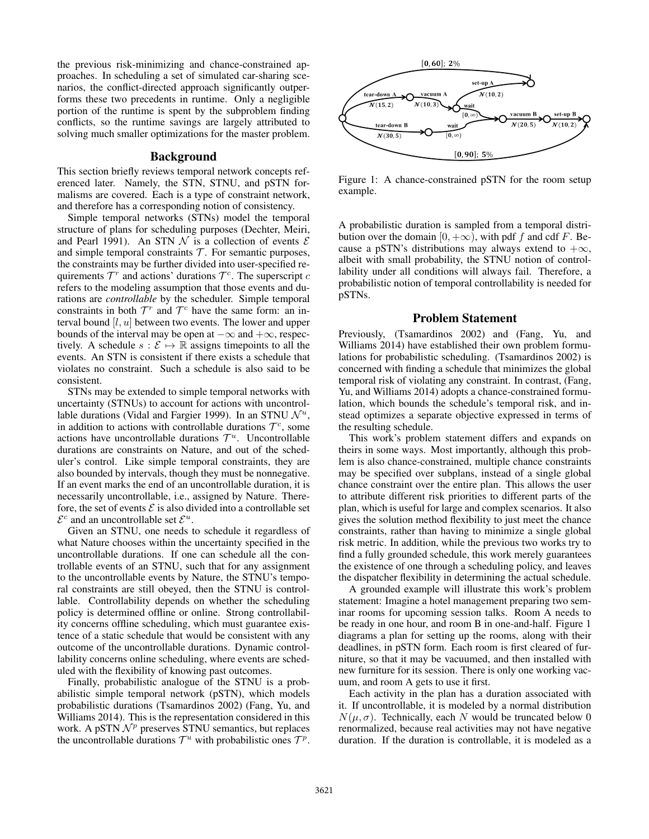the previous risk-minimizing and chance-constrained approaches. In scheduling a set of simulated car-sharing scenarios, the conflict-directed approach significantly outperforms these two precedents in runtime. Only a negligible portion of the runtime is spent by the subproblem finding conflicts, so the runtime savings are largely attributed to solving much smaller optimizations for the master problem.

#### Background

This section briefly reviews temporal network concepts referenced later. Namely, the STN, STNU, and pSTN formalisms are covered. Each is a type of constraint network, and therefore has a corresponding notion of consistency.

Simple temporal networks (STNs) model the temporal structure of plans for scheduling purposes (Dechter, Meiri, and Pearl 1991). An STN  $\mathcal N$  is a collection of events  $\mathcal E$ and simple temporal constraints  $T$ . For semantic purposes, the constraints may be further divided into user-specified requirements  $\mathcal{T}^r$  and actions' durations  $\mathcal{T}^c$ . The superscript c refers to the modeling assumption that those events and durations are *controllable* by the scheduler. Simple temporal constraints in both  $\mathcal{T}^r$  and  $\mathcal{T}^c$  have the same form: an interval bound  $[l, u]$  between two events. The lower and upper bounds of the interval may be open at  $-\infty$  and  $+\infty$ , respectively. A schedule  $s : \mathcal{E} \mapsto \mathbb{R}$  assigns timepoints to all the events. An STN is consistent if there exists a schedule that violates no constraint. Such a schedule is also said to be consistent.

STNs may be extended to simple temporal networks with uncertainty (STNUs) to account for actions with uncontrollable durations (Vidal and Fargier 1999). In an STNU  $\mathcal{N}^u$ , in addition to actions with controllable durations  $\mathcal{T}^c$ , some actions have uncontrollable durations  $\mathcal{T}^u$ . Uncontrollable durations are constraints on Nature, and out of the scheduler's control. Like simple temporal constraints, they are also bounded by intervals, though they must be nonnegative. If an event marks the end of an uncontrollable duration, it is necessarily uncontrollable, i.e., assigned by Nature. Therefore, the set of events  $\mathcal E$  is also divided into a controllable set  $\mathcal{E}^c$  and an uncontrollable set  $\mathcal{E}^u$ .

Given an STNU, one needs to schedule it regardless of what Nature chooses within the uncertainty specified in the uncontrollable durations. If one can schedule all the controllable events of an STNU, such that for any assignment to the uncontrollable events by Nature, the STNU's temporal constraints are still obeyed, then the STNU is controllable. Controllability depends on whether the scheduling policy is determined offline or online. Strong controllability concerns offline scheduling, which must guarantee existence of a static schedule that would be consistent with any outcome of the uncontrollable durations. Dynamic controllability concerns online scheduling, where events are scheduled with the flexibility of knowing past outcomes.

Finally, probabilistic analogue of the STNU is a probabilistic simple temporal network (pSTN), which models probabilistic durations (Tsamardinos 2002) (Fang, Yu, and Williams 2014). This is the representation considered in this work. A pSTN  $\mathcal{N}^p$  preserves STNU semantics, but replaces the uncontrollable durations  $\mathcal{T}^u$  with probabilistic ones  $\mathcal{T}^p$ .



Figure 1: A chance-constrained pSTN for the room setup example.

A probabilistic duration is sampled from a temporal distribution over the domain [0, + $\infty$ ), with pdf f and cdf F. Because a pSTN's distributions may always extend to  $+\infty$ , albeit with small probability, the STNU notion of controllability under all conditions will always fail. Therefore, a probabilistic notion of temporal controllability is needed for pSTNs.

#### Problem Statement

Previously, (Tsamardinos 2002) and (Fang, Yu, and Williams 2014) have established their own problem formulations for probabilistic scheduling. (Tsamardinos 2002) is concerned with finding a schedule that minimizes the global temporal risk of violating any constraint. In contrast, (Fang, Yu, and Williams 2014) adopts a chance-constrained formulation, which bounds the schedule's temporal risk, and instead optimizes a separate objective expressed in terms of the resulting schedule.

This work's problem statement differs and expands on theirs in some ways. Most importantly, although this problem is also chance-constrained, multiple chance constraints may be specified over subplans, instead of a single global chance constraint over the entire plan. This allows the user to attribute different risk priorities to different parts of the plan, which is useful for large and complex scenarios. It also gives the solution method flexibility to just meet the chance constraints, rather than having to minimize a single global risk metric. In addition, while the previous two works try to find a fully grounded schedule, this work merely guarantees the existence of one through a scheduling policy, and leaves the dispatcher flexibility in determining the actual schedule.

A grounded example will illustrate this work's problem statement: Imagine a hotel management preparing two seminar rooms for upcoming session talks. Room A needs to be ready in one hour, and room B in one-and-half. Figure 1 diagrams a plan for setting up the rooms, along with their deadlines, in pSTN form. Each room is first cleared of furniture, so that it may be vacuumed, and then installed with new furniture for its session. There is only one working vacuum, and room A gets to use it first.

Each activity in the plan has a duration associated with it. If uncontrollable, it is modeled by a normal distribution  $N(\mu, \sigma)$ . Technically, each N would be truncated below 0 renormalized, because real activities may not have negative duration. If the duration is controllable, it is modeled as a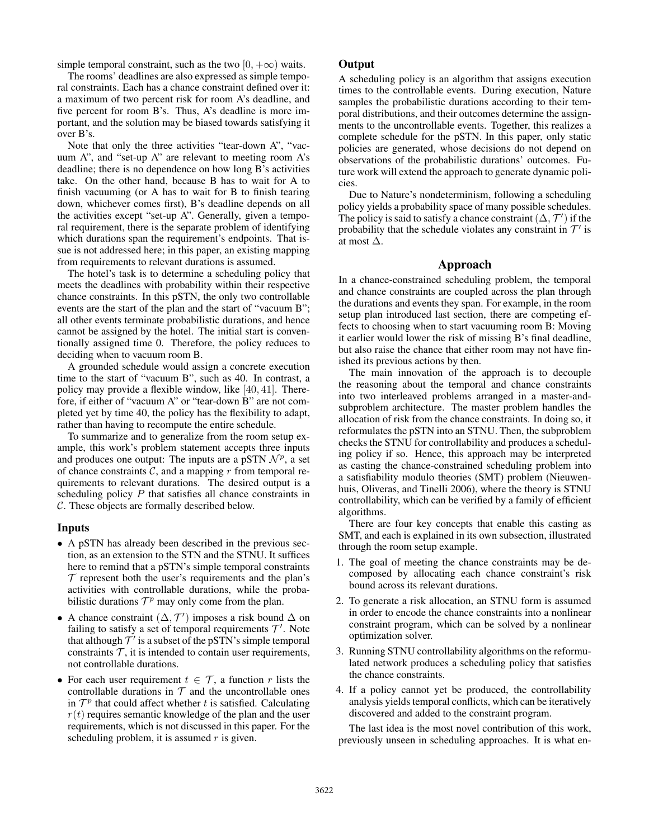simple temporal constraint, such as the two  $[0, +\infty)$  waits.

The rooms' deadlines are also expressed as simple temporal constraints. Each has a chance constraint defined over it: a maximum of two percent risk for room A's deadline, and five percent for room B's. Thus, A's deadline is more important, and the solution may be biased towards satisfying it over B's.

Note that only the three activities "tear-down A", "vacuum A", and "set-up A" are relevant to meeting room A's deadline; there is no dependence on how long B's activities take. On the other hand, because B has to wait for A to finish vacuuming (or A has to wait for B to finish tearing down, whichever comes first), B's deadline depends on all the activities except "set-up A". Generally, given a temporal requirement, there is the separate problem of identifying which durations span the requirement's endpoints. That issue is not addressed here; in this paper, an existing mapping from requirements to relevant durations is assumed.

The hotel's task is to determine a scheduling policy that meets the deadlines with probability within their respective chance constraints. In this pSTN, the only two controllable events are the start of the plan and the start of "vacuum B"; all other events terminate probabilistic durations, and hence cannot be assigned by the hotel. The initial start is conventionally assigned time 0. Therefore, the policy reduces to deciding when to vacuum room B.

A grounded schedule would assign a concrete execution time to the start of "vacuum B", such as 40. In contrast, a policy may provide a flexible window, like [40, 41]. Therefore, if either of "vacuum A" or "tear-down B" are not completed yet by time 40, the policy has the flexibility to adapt, rather than having to recompute the entire schedule.

To summarize and to generalize from the room setup example, this work's problem statement accepts three inputs and produces one output: The inputs are a pSTN  $\mathcal{N}^p$ , a set of chance constraints  $C$ , and a mapping  $r$  from temporal requirements to relevant durations. The desired output is a scheduling policy  $P$  that satisfies all chance constraints in C. These objects are formally described below.

#### Inputs

- A pSTN has already been described in the previous section, as an extension to the STN and the STNU. It suffices here to remind that a pSTN's simple temporal constraints  $\tau$  represent both the user's requirements and the plan's activities with controllable durations, while the probabilistic durations  $\mathcal{T}^p$  may only come from the plan.
- A chance constraint  $(\Delta, \mathcal{T}')$  imposes a risk bound  $\Delta$  on failing to satisfy a set of temporal requirements  $\mathcal{T}'$ . Note that although  $\mathcal{T}'$  is a subset of the pSTN's simple temporal constraints  $T$ , it is intended to contain user requirements, not controllable durations.
- For each user requirement  $t \in \mathcal{T}$ , a function r lists the controllable durations in  $T$  and the uncontrollable ones in  $\mathcal{T}^p$  that could affect whether t is satisfied. Calculating  $r(t)$  requires semantic knowledge of the plan and the user requirements, which is not discussed in this paper. For the scheduling problem, it is assumed  $r$  is given.

#### **Output**

A scheduling policy is an algorithm that assigns execution times to the controllable events. During execution, Nature samples the probabilistic durations according to their temporal distributions, and their outcomes determine the assignments to the uncontrollable events. Together, this realizes a complete schedule for the pSTN. In this paper, only static policies are generated, whose decisions do not depend on observations of the probabilistic durations' outcomes. Future work will extend the approach to generate dynamic policies.

Due to Nature's nondeterminism, following a scheduling policy yields a probability space of many possible schedules. The policy is said to satisfy a chance constraint  $(\Delta, \mathcal{T}')$  if the probability that the schedule violates any constraint in  $\mathcal{T}'$  is at most ∆.

#### Approach

In a chance-constrained scheduling problem, the temporal and chance constraints are coupled across the plan through the durations and events they span. For example, in the room setup plan introduced last section, there are competing effects to choosing when to start vacuuming room B: Moving it earlier would lower the risk of missing B's final deadline, but also raise the chance that either room may not have finished its previous actions by then.

The main innovation of the approach is to decouple the reasoning about the temporal and chance constraints into two interleaved problems arranged in a master-andsubproblem architecture. The master problem handles the allocation of risk from the chance constraints. In doing so, it reformulates the pSTN into an STNU. Then, the subproblem checks the STNU for controllability and produces a scheduling policy if so. Hence, this approach may be interpreted as casting the chance-constrained scheduling problem into a satisfiability modulo theories (SMT) problem (Nieuwenhuis, Oliveras, and Tinelli 2006), where the theory is STNU controllability, which can be verified by a family of efficient algorithms.

There are four key concepts that enable this casting as SMT, and each is explained in its own subsection, illustrated through the room setup example.

- 1. The goal of meeting the chance constraints may be decomposed by allocating each chance constraint's risk bound across its relevant durations.
- 2. To generate a risk allocation, an STNU form is assumed in order to encode the chance constraints into a nonlinear constraint program, which can be solved by a nonlinear optimization solver.
- 3. Running STNU controllability algorithms on the reformulated network produces a scheduling policy that satisfies the chance constraints.
- 4. If a policy cannot yet be produced, the controllability analysis yields temporal conflicts, which can be iteratively discovered and added to the constraint program.

The last idea is the most novel contribution of this work, previously unseen in scheduling approaches. It is what en-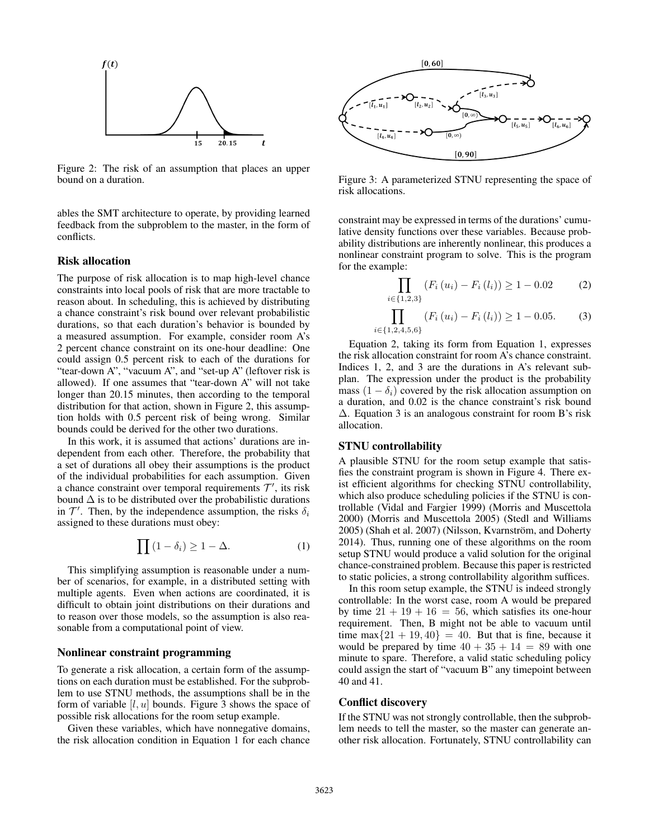

Figure 2: The risk of an assumption that places an upper bound on a duration.

ables the SMT architecture to operate, by providing learned feedback from the subproblem to the master, in the form of conflicts.

#### Risk allocation

The purpose of risk allocation is to map high-level chance constraints into local pools of risk that are more tractable to reason about. In scheduling, this is achieved by distributing a chance constraint's risk bound over relevant probabilistic durations, so that each duration's behavior is bounded by a measured assumption. For example, consider room A's 2 percent chance constraint on its one-hour deadline: One could assign 0.5 percent risk to each of the durations for "tear-down A", "vacuum A", and "set-up A" (leftover risk is allowed). If one assumes that "tear-down A" will not take longer than 20.15 minutes, then according to the temporal distribution for that action, shown in Figure 2, this assumption holds with 0.5 percent risk of being wrong. Similar bounds could be derived for the other two durations.

In this work, it is assumed that actions' durations are independent from each other. Therefore, the probability that a set of durations all obey their assumptions is the product of the individual probabilities for each assumption. Given a chance constraint over temporal requirements  $\mathcal{T}'$ , its risk bound  $\Delta$  is to be distributed over the probabilistic durations in  $\mathcal{T}'$ . Then, by the independence assumption, the risks  $\delta_i$ assigned to these durations must obey:

$$
\prod (1 - \delta_i) \ge 1 - \Delta. \tag{1}
$$

This simplifying assumption is reasonable under a number of scenarios, for example, in a distributed setting with multiple agents. Even when actions are coordinated, it is difficult to obtain joint distributions on their durations and to reason over those models, so the assumption is also reasonable from a computational point of view.

#### Nonlinear constraint programming

To generate a risk allocation, a certain form of the assumptions on each duration must be established. For the subproblem to use STNU methods, the assumptions shall be in the form of variable  $[l, u]$  bounds. Figure 3 shows the space of possible risk allocations for the room setup example.

Given these variables, which have nonnegative domains, the risk allocation condition in Equation 1 for each chance



Figure 3: A parameterized STNU representing the space of risk allocations.

constraint may be expressed in terms of the durations' cumulative density functions over these variables. Because probability distributions are inherently nonlinear, this produces a nonlinear constraint program to solve. This is the program for the example:

$$
\prod_{i \in \{1,2,3\}} \left( F_i \left( u_i \right) - F_i \left( l_i \right) \right) \ge 1 - 0.02 \tag{2}
$$

$$
\prod_{i \in \{1,2,4,5,6\}} (F_i(u_i) - F_i(l_i)) \ge 1 - 0.05.
$$
 (3)

Equation 2, taking its form from Equation 1, expresses the risk allocation constraint for room A's chance constraint. Indices 1, 2, and 3 are the durations in A's relevant subplan. The expression under the product is the probability mass  $(1 - \delta_i)$  covered by the risk allocation assumption on a duration, and 0.02 is the chance constraint's risk bound  $\Delta$ . Equation 3 is an analogous constraint for room B's risk allocation.

#### STNU controllability

A plausible STNU for the room setup example that satisfies the constraint program is shown in Figure 4. There exist efficient algorithms for checking STNU controllability, which also produce scheduling policies if the STNU is controllable (Vidal and Fargier 1999) (Morris and Muscettola 2000) (Morris and Muscettola 2005) (Stedl and Williams 2005) (Shah et al. 2007) (Nilsson, Kvarnström, and Doherty 2014). Thus, running one of these algorithms on the room setup STNU would produce a valid solution for the original chance-constrained problem. Because this paper is restricted to static policies, a strong controllability algorithm suffices.

In this room setup example, the STNU is indeed strongly controllable: In the worst case, room A would be prepared by time  $21 + 19 + 16 = 56$ , which satisfies its one-hour requirement. Then, B might not be able to vacuum until time max $\{21 + 19, 40\} = 40$ . But that is fine, because it would be prepared by time  $40 + 35 + 14 = 89$  with one minute to spare. Therefore, a valid static scheduling policy could assign the start of "vacuum B" any timepoint between 40 and 41.

#### Conflict discovery

If the STNU was not strongly controllable, then the subproblem needs to tell the master, so the master can generate another risk allocation. Fortunately, STNU controllability can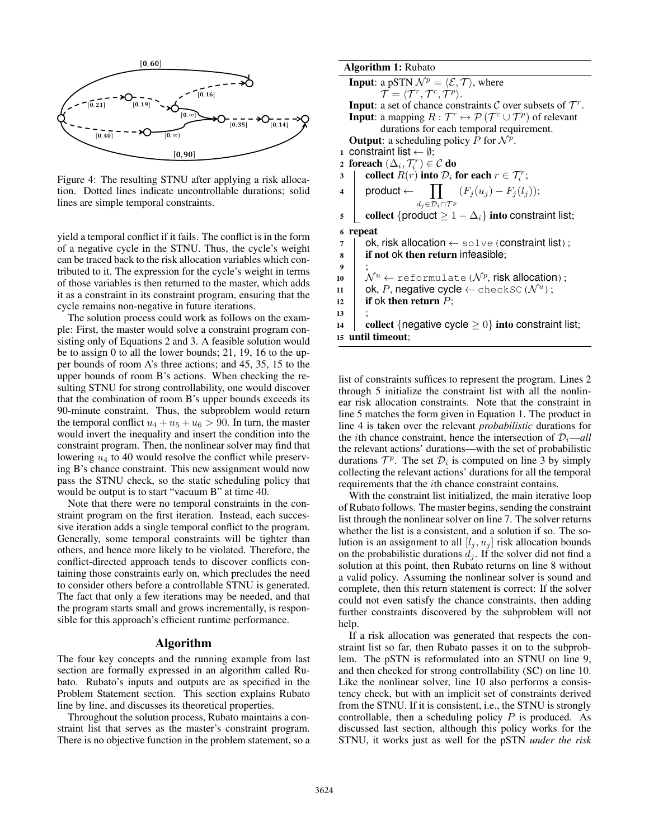

Figure 4: The resulting STNU after applying a risk allocation. Dotted lines indicate uncontrollable durations; solid lines are simple temporal constraints.

yield a temporal conflict if it fails. The conflict is in the form of a negative cycle in the STNU. Thus, the cycle's weight can be traced back to the risk allocation variables which contributed to it. The expression for the cycle's weight in terms of those variables is then returned to the master, which adds it as a constraint in its constraint program, ensuring that the cycle remains non-negative in future iterations.

The solution process could work as follows on the example: First, the master would solve a constraint program consisting only of Equations 2 and 3. A feasible solution would be to assign 0 to all the lower bounds; 21, 19, 16 to the upper bounds of room A's three actions; and 45, 35, 15 to the upper bounds of room B's actions. When checking the resulting STNU for strong controllability, one would discover that the combination of room B's upper bounds exceeds its 90-minute constraint. Thus, the subproblem would return the temporal conflict  $u_4 + u_5 + u_6 > 90$ . In turn, the master would invert the inequality and insert the condition into the constraint program. Then, the nonlinear solver may find that lowering  $u_4$  to 40 would resolve the conflict while preserving B's chance constraint. This new assignment would now pass the STNU check, so the static scheduling policy that would be output is to start "vacuum B" at time 40.

Note that there were no temporal constraints in the constraint program on the first iteration. Instead, each successive iteration adds a single temporal conflict to the program. Generally, some temporal constraints will be tighter than others, and hence more likely to be violated. Therefore, the conflict-directed approach tends to discover conflicts containing those constraints early on, which precludes the need to consider others before a controllable STNU is generated. The fact that only a few iterations may be needed, and that the program starts small and grows incrementally, is responsible for this approach's efficient runtime performance.

#### Algorithm

The four key concepts and the running example from last section are formally expressed in an algorithm called Rubato. Rubato's inputs and outputs are as specified in the Problem Statement section. This section explains Rubato line by line, and discusses its theoretical properties.

Throughout the solution process, Rubato maintains a constraint list that serves as the master's constraint program. There is no objective function in the problem statement, so a

# Algorithm 1: Rubato

```
Input: a pSTN \mathcal{N}^p = \langle \mathcal{E}, \mathcal{T} \rangle, where
               \mathcal{T} = \langle \mathcal{T}^r, \mathcal{T}^c, \mathcal{T}^p \rangle.Input: a set of chance constraints \mathcal C over subsets of \mathcal T^r.
    Input: a mapping R: \mathcal{T}^r \mapsto \mathcal{P}(\mathcal{T}^c \cup \mathcal{T}^p) of relevant
               durations for each temporal requirement.
    Output: a scheduling policy \hat{P} for \mathcal{N}\hat{P}.
 1 constraint list \leftarrow \emptyset;
 2 foreach (\Delta_i, \mathcal{T}_i^r) \in \mathcal{C} do
 3 collect R(r) into \mathcal{D}_i for each r \in \mathcal{T}_i^r;
 4 \mid product \leftarrow\prod (F_j(u_j) - F_j(l_j));d_j \in \mathcal{D}_i \cap \mathcal{T}^p5 collect {product \geq 1 - \Delta_i} into constraint list;
 6 repeat
 7 \mid \text{ok}, \text{risk} allocation \leftarrow solve (constraint list);
 8 if not ok then return infeasible;
 9 ;
10 \quad | \quad \mathcal{N}^u \leftarrow \texttt{reformulate} \left( \mathcal{N}^p, \, \textsf{risk allocation} \right);11 | ok, P, negative cycle \leftarrow checkSC(\mathcal{N}^u);
12 if ok then return P;
13 ;
14 collect {negative cycle \geq 0} into constraint list;
15 until timeout;
```
list of constraints suffices to represent the program. Lines 2 through 5 initialize the constraint list with all the nonlinear risk allocation constraints. Note that the constraint in line 5 matches the form given in Equation 1. The product in line 4 is taken over the relevant *probabilistic* durations for the *i*th chance constraint, hence the intersection of  $\mathcal{D}_i$ —*all* the relevant actions' durations—with the set of probabilistic durations  $\mathcal{T}^p$ . The set  $\mathcal{D}_i$  is computed on line 3 by simply collecting the relevant actions' durations for all the temporal requirements that the ith chance constraint contains.

With the constraint list initialized, the main iterative loop of Rubato follows. The master begins, sending the constraint list through the nonlinear solver on line 7. The solver returns whether the list is a consistent, and a solution if so. The solution is an assignment to all  $[l_j, u_j]$  risk allocation bounds on the probabilistic durations  $\tilde{d}_j$ . If the solver did not find a solution at this point, then Rubato returns on line 8 without a valid policy. Assuming the nonlinear solver is sound and complete, then this return statement is correct: If the solver could not even satisfy the chance constraints, then adding further constraints discovered by the subproblem will not help.

If a risk allocation was generated that respects the constraint list so far, then Rubato passes it on to the subproblem. The pSTN is reformulated into an STNU on line 9, and then checked for strong controllability (SC) on line 10. Like the nonlinear solver, line 10 also performs a consistency check, but with an implicit set of constraints derived from the STNU. If it is consistent, i.e., the STNU is strongly controllable, then a scheduling policy  $P$  is produced. As discussed last section, although this policy works for the STNU, it works just as well for the pSTN *under the risk*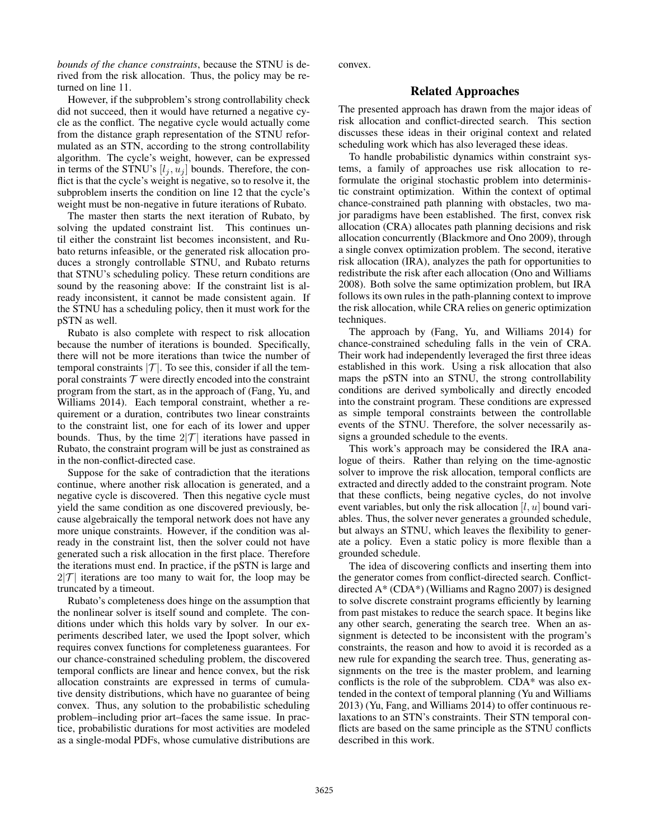*bounds of the chance constraints*, because the STNU is derived from the risk allocation. Thus, the policy may be returned on line 11.

However, if the subproblem's strong controllability check did not succeed, then it would have returned a negative cycle as the conflict. The negative cycle would actually come from the distance graph representation of the STNU reformulated as an STN, according to the strong controllability algorithm. The cycle's weight, however, can be expressed in terms of the STNU's  $[l_i, u_j]$  bounds. Therefore, the conflict is that the cycle's weight is negative, so to resolve it, the subproblem inserts the condition on line 12 that the cycle's weight must be non-negative in future iterations of Rubato.

The master then starts the next iteration of Rubato, by solving the updated constraint list. This continues until either the constraint list becomes inconsistent, and Rubato returns infeasible, or the generated risk allocation produces a strongly controllable STNU, and Rubato returns that STNU's scheduling policy. These return conditions are sound by the reasoning above: If the constraint list is already inconsistent, it cannot be made consistent again. If the STNU has a scheduling policy, then it must work for the pSTN as well.

Rubato is also complete with respect to risk allocation because the number of iterations is bounded. Specifically, there will not be more iterations than twice the number of temporal constraints  $|\mathcal{T}|$ . To see this, consider if all the temporal constraints  $T$  were directly encoded into the constraint program from the start, as in the approach of (Fang, Yu, and Williams 2014). Each temporal constraint, whether a requirement or a duration, contributes two linear constraints to the constraint list, one for each of its lower and upper bounds. Thus, by the time  $2|\mathcal{T}|$  iterations have passed in Rubato, the constraint program will be just as constrained as in the non-conflict-directed case.

Suppose for the sake of contradiction that the iterations continue, where another risk allocation is generated, and a negative cycle is discovered. Then this negative cycle must yield the same condition as one discovered previously, because algebraically the temporal network does not have any more unique constraints. However, if the condition was already in the constraint list, then the solver could not have generated such a risk allocation in the first place. Therefore the iterations must end. In practice, if the pSTN is large and  $2|T|$  iterations are too many to wait for, the loop may be truncated by a timeout.

Rubato's completeness does hinge on the assumption that the nonlinear solver is itself sound and complete. The conditions under which this holds vary by solver. In our experiments described later, we used the Ipopt solver, which requires convex functions for completeness guarantees. For our chance-constrained scheduling problem, the discovered temporal conflicts are linear and hence convex, but the risk allocation constraints are expressed in terms of cumulative density distributions, which have no guarantee of being convex. Thus, any solution to the probabilistic scheduling problem–including prior art–faces the same issue. In practice, probabilistic durations for most activities are modeled as a single-modal PDFs, whose cumulative distributions are

convex.

## Related Approaches

The presented approach has drawn from the major ideas of risk allocation and conflict-directed search. This section discusses these ideas in their original context and related scheduling work which has also leveraged these ideas.

To handle probabilistic dynamics within constraint systems, a family of approaches use risk allocation to reformulate the original stochastic problem into deterministic constraint optimization. Within the context of optimal chance-constrained path planning with obstacles, two major paradigms have been established. The first, convex risk allocation (CRA) allocates path planning decisions and risk allocation concurrently (Blackmore and Ono 2009), through a single convex optimization problem. The second, iterative risk allocation (IRA), analyzes the path for opportunities to redistribute the risk after each allocation (Ono and Williams 2008). Both solve the same optimization problem, but IRA follows its own rules in the path-planning context to improve the risk allocation, while CRA relies on generic optimization techniques.

The approach by (Fang, Yu, and Williams 2014) for chance-constrained scheduling falls in the vein of CRA. Their work had independently leveraged the first three ideas established in this work. Using a risk allocation that also maps the pSTN into an STNU, the strong controllability conditions are derived symbolically and directly encoded into the constraint program. These conditions are expressed as simple temporal constraints between the controllable events of the STNU. Therefore, the solver necessarily assigns a grounded schedule to the events.

This work's approach may be considered the IRA analogue of theirs. Rather than relying on the time-agnostic solver to improve the risk allocation, temporal conflicts are extracted and directly added to the constraint program. Note that these conflicts, being negative cycles, do not involve event variables, but only the risk allocation  $[l, u]$  bound variables. Thus, the solver never generates a grounded schedule, but always an STNU, which leaves the flexibility to generate a policy. Even a static policy is more flexible than a grounded schedule.

The idea of discovering conflicts and inserting them into the generator comes from conflict-directed search. Conflictdirected A\* (CDA\*) (Williams and Ragno 2007) is designed to solve discrete constraint programs efficiently by learning from past mistakes to reduce the search space. It begins like any other search, generating the search tree. When an assignment is detected to be inconsistent with the program's constraints, the reason and how to avoid it is recorded as a new rule for expanding the search tree. Thus, generating assignments on the tree is the master problem, and learning conflicts is the role of the subproblem. CDA\* was also extended in the context of temporal planning (Yu and Williams 2013) (Yu, Fang, and Williams 2014) to offer continuous relaxations to an STN's constraints. Their STN temporal conflicts are based on the same principle as the STNU conflicts described in this work.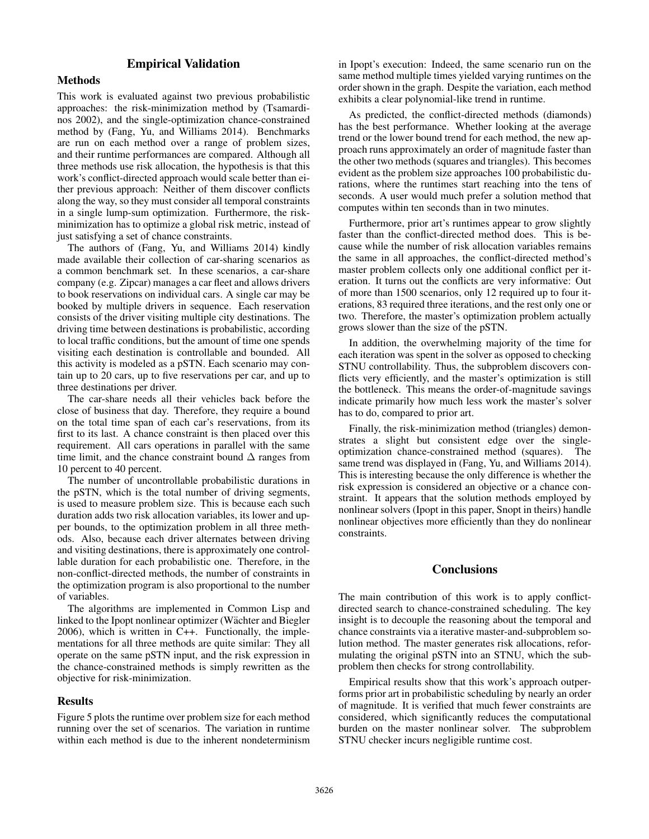## Empirical Validation

#### Methods

This work is evaluated against two previous probabilistic approaches: the risk-minimization method by (Tsamardinos 2002), and the single-optimization chance-constrained method by (Fang, Yu, and Williams 2014). Benchmarks are run on each method over a range of problem sizes, and their runtime performances are compared. Although all three methods use risk allocation, the hypothesis is that this work's conflict-directed approach would scale better than either previous approach: Neither of them discover conflicts along the way, so they must consider all temporal constraints in a single lump-sum optimization. Furthermore, the riskminimization has to optimize a global risk metric, instead of just satisfying a set of chance constraints.

The authors of (Fang, Yu, and Williams 2014) kindly made available their collection of car-sharing scenarios as a common benchmark set. In these scenarios, a car-share company (e.g. Zipcar) manages a car fleet and allows drivers to book reservations on individual cars. A single car may be booked by multiple drivers in sequence. Each reservation consists of the driver visiting multiple city destinations. The driving time between destinations is probabilistic, according to local traffic conditions, but the amount of time one spends visiting each destination is controllable and bounded. All this activity is modeled as a pSTN. Each scenario may contain up to 20 cars, up to five reservations per car, and up to three destinations per driver.

The car-share needs all their vehicles back before the close of business that day. Therefore, they require a bound on the total time span of each car's reservations, from its first to its last. A chance constraint is then placed over this requirement. All cars operations in parallel with the same time limit, and the chance constraint bound  $\Delta$  ranges from 10 percent to 40 percent.

The number of uncontrollable probabilistic durations in the pSTN, which is the total number of driving segments, is used to measure problem size. This is because each such duration adds two risk allocation variables, its lower and upper bounds, to the optimization problem in all three methods. Also, because each driver alternates between driving and visiting destinations, there is approximately one controllable duration for each probabilistic one. Therefore, in the non-conflict-directed methods, the number of constraints in the optimization program is also proportional to the number of variables.

The algorithms are implemented in Common Lisp and linked to the Ipopt nonlinear optimizer (Wächter and Biegler 2006), which is written in C++. Functionally, the implementations for all three methods are quite similar: They all operate on the same pSTN input, and the risk expression in the chance-constrained methods is simply rewritten as the objective for risk-minimization.

#### Results

Figure 5 plots the runtime over problem size for each method running over the set of scenarios. The variation in runtime within each method is due to the inherent nondeterminism

in Ipopt's execution: Indeed, the same scenario run on the same method multiple times yielded varying runtimes on the order shown in the graph. Despite the variation, each method exhibits a clear polynomial-like trend in runtime.

As predicted, the conflict-directed methods (diamonds) has the best performance. Whether looking at the average trend or the lower bound trend for each method, the new approach runs approximately an order of magnitude faster than the other two methods (squares and triangles). This becomes evident as the problem size approaches 100 probabilistic durations, where the runtimes start reaching into the tens of seconds. A user would much prefer a solution method that computes within ten seconds than in two minutes.

Furthermore, prior art's runtimes appear to grow slightly faster than the conflict-directed method does. This is because while the number of risk allocation variables remains the same in all approaches, the conflict-directed method's master problem collects only one additional conflict per iteration. It turns out the conflicts are very informative: Out of more than 1500 scenarios, only 12 required up to four iterations, 83 required three iterations, and the rest only one or two. Therefore, the master's optimization problem actually grows slower than the size of the pSTN.

In addition, the overwhelming majority of the time for each iteration was spent in the solver as opposed to checking STNU controllability. Thus, the subproblem discovers conflicts very efficiently, and the master's optimization is still the bottleneck. This means the order-of-magnitude savings indicate primarily how much less work the master's solver has to do, compared to prior art.

Finally, the risk-minimization method (triangles) demonstrates a slight but consistent edge over the singleoptimization chance-constrained method (squares). The same trend was displayed in (Fang, Yu, and Williams 2014). This is interesting because the only difference is whether the risk expression is considered an objective or a chance constraint. It appears that the solution methods employed by nonlinear solvers (Ipopt in this paper, Snopt in theirs) handle nonlinear objectives more efficiently than they do nonlinear constraints.

## **Conclusions**

The main contribution of this work is to apply conflictdirected search to chance-constrained scheduling. The key insight is to decouple the reasoning about the temporal and chance constraints via a iterative master-and-subproblem solution method. The master generates risk allocations, reformulating the original pSTN into an STNU, which the subproblem then checks for strong controllability.

Empirical results show that this work's approach outperforms prior art in probabilistic scheduling by nearly an order of magnitude. It is verified that much fewer constraints are considered, which significantly reduces the computational burden on the master nonlinear solver. The subproblem STNU checker incurs negligible runtime cost.